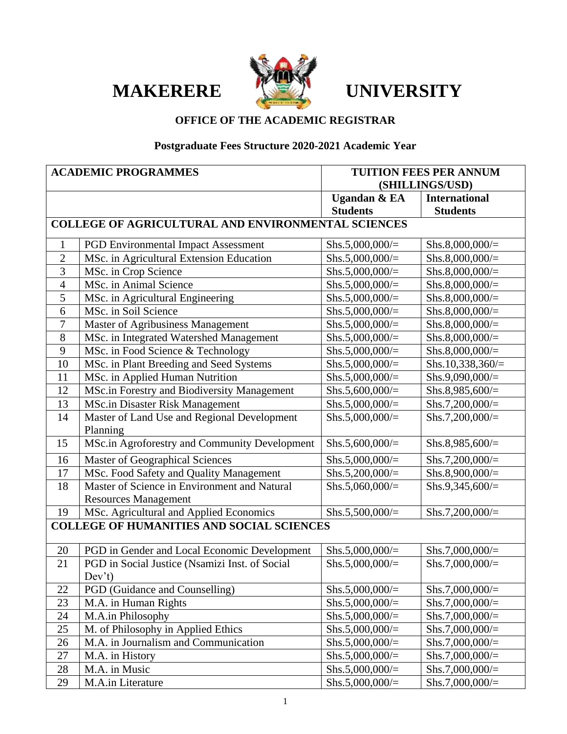# **MAKERERE <b>TELL** UNIVERSITY



## **OFFICE OF THE ACADEMIC REGISTRAR**

## **Postgraduate Fees Structure 2020-2021 Academic Year**

| <b>ACADEMIC PROGRAMMES</b> |                                                           | <b>TUITION FEES PER ANNUM</b> |                      |
|----------------------------|-----------------------------------------------------------|-------------------------------|----------------------|
|                            |                                                           | (SHILLINGS/USD)               |                      |
|                            |                                                           | <b>Ugandan &amp; EA</b>       | <b>International</b> |
|                            |                                                           | <b>Students</b>               | <b>Students</b>      |
|                            | <b>COLLEGE OF AGRICULTURAL AND ENVIRONMENTAL SCIENCES</b> |                               |                      |
| $\mathbf{1}$               | <b>PGD Environmental Impact Assessment</b>                | Shs.5,000,000/ $=$            | $Shs.8,000,000/=$    |
| $\overline{2}$             | MSc. in Agricultural Extension Education                  | Shs.5,000,000/ $=$            | Shs.8,000,000/ $=$   |
| 3                          | MSc. in Crop Science                                      | Shs.5,000,000/ $=$            | Shs.8,000,000/ $=$   |
| $\overline{4}$             | MSc. in Animal Science                                    | Shs.5,000,000/ $=$            | Shs.8,000,000/ $=$   |
| $\mathfrak{S}$             | MSc. in Agricultural Engineering                          | Shs.5,000,000/ $=$            | Shs.8,000,000/ $=$   |
| 6                          | MSc. in Soil Science                                      | Shs.5,000,000/ $=$            | Shs.8,000,000/=      |
| 7                          | <b>Master of Agribusiness Management</b>                  | Shs.5,000,000/ $=$            | Shs.8,000,000/ $=$   |
| 8                          | MSc. in Integrated Watershed Management                   | Shs.5,000,000/ $=$            | Shs.8,000,000/ $=$   |
| 9                          | MSc. in Food Science & Technology                         | Shs.5,000,000/=               | Shs.8,000,000/ $=$   |
| 10                         | MSc. in Plant Breeding and Seed Systems                   | Shs.5,000,000/ $=$            | Shs.10,338,360/ $=$  |
| 11                         | MSc. in Applied Human Nutrition                           | Shs.5,000,000/ $=$            | Shs.9,090,000/=      |
| 12                         | <b>MSc.in Forestry and Biodiversity Management</b>        | Shs.5,600,000/ $=$            | Shs.8,985,600/=      |
| 13                         | <b>MSc.in Disaster Risk Management</b>                    | Shs.5,000,000/ $=$            | Shs.7,200,000/ $=$   |
| 14                         | Master of Land Use and Regional Development               | Shs.5,000,000/ $=$            | Shs.7,200,000/ $=$   |
|                            | Planning                                                  |                               |                      |
| 15                         | MSc.in Agroforestry and Community Development             | Shs.5,600,000/ $=$            | Shs.8,985,600/ $=$   |
| 16                         | Master of Geographical Sciences                           | Shs.5,000,000/ $=$            | Shs.7,200,000/ $=$   |
| 17                         | MSc. Food Safety and Quality Management                   | Shs.5,200,000/=               | Shs.8,900,000/=      |
| 18                         | Master of Science in Environment and Natural              | Shs.5,060,000/ $=$            | Shs.9,345,600/ $=$   |
|                            | <b>Resources Management</b>                               |                               |                      |
| 19                         | MSc. Agricultural and Applied Economics                   | Shs.5,500,000/ $=$            | Shs.7,200,000/ $=$   |
|                            | <b>COLLEGE OF HUMANITIES AND SOCIAL SCIENCES</b>          |                               |                      |
| 20                         | PGD in Gender and Local Economic Development              | Shs.5,000,000/ $=$            | Shs.7,000,000/ $=$   |
| 21                         | PGD in Social Justice (Nsamizi Inst. of Social            | Shs.5,000,000/ $=$            | Shs.7,000,000/ $=$   |
|                            | Dev't)                                                    |                               |                      |
| 22                         | PGD (Guidance and Counselling)                            | Shs.5,000,000/ $=$            | Shs.7,000,000/ $=$   |
| 23                         | M.A. in Human Rights                                      | Shs.5,000,000/ $=$            | Shs.7,000,000/ $=$   |
| 24                         | M.A.in Philosophy                                         | Shs.5,000,000/ $=$            | Shs.7,000,000/ $=$   |
| 25                         | M. of Philosophy in Applied Ethics                        | Shs.5,000,000/ $=$            | Shs.7,000,000/ $=$   |
| 26                         | M.A. in Journalism and Communication                      | Shs.5,000,000/ $=$            | Shs.7,000,000/ $=$   |
| 27                         | M.A. in History                                           | Shs.5,000,000/ $=$            | Shs.7,000,000/ $=$   |
| 28                         | M.A. in Music                                             | Shs.5,000,000/ $=$            | Shs.7,000,000/ $=$   |
| 29                         | M.A.in Literature                                         | Shs.5,000,000/ $=$            | Shs.7,000,000/ $=$   |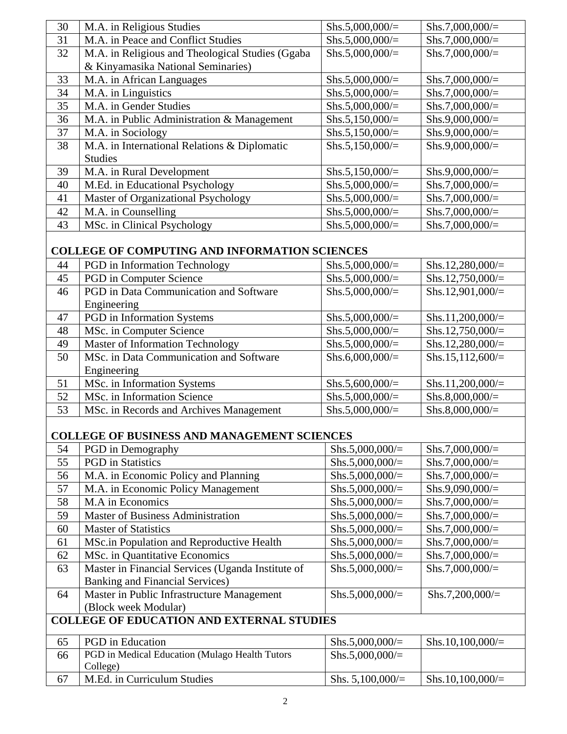| Shs.7,000,000/ $=$ |
|--------------------|
| Shs.7,000,000/ $=$ |
| $Shs.7,000,000/=$  |
|                    |
| Shs.7,000,000/ $=$ |
| $Shs.7,000,000/=$  |
| $Shs.7,000,000/=$  |
| Shs.9,000,000/=    |
| $Shs.9,000,000/=$  |
| $Shs.9,000,000/=$  |
|                    |
| Shs.9,000,000/ $=$ |
| $Shs.7,000,000/=$  |
| Shs.7,000,000/ $=$ |
| Shs.7,000,000/ $=$ |
| Shs.7,000,000/ $=$ |
|                    |

## **COLLEGE OF COMPUTING AND INFORMATION SCIENCES**

| 44 | <b>PGD</b> in Information Technology    | Shs.5,000,000/ $=$ | Shs.12,280,000/ $=$ |
|----|-----------------------------------------|--------------------|---------------------|
| 45 | PGD in Computer Science                 | Shs.5,000,000/ $=$ | Shs.12,750,000/ $=$ |
| 46 | PGD in Data Communication and Software  | Shs.5,000,000/ $=$ | Shs.12,901,000/ $=$ |
|    | Engineering                             |                    |                     |
| 47 | PGD in Information Systems              | Shs.5,000,000/ $=$ | Shs.11,200,000/ $=$ |
| 48 | MSc. in Computer Science                | Shs.5,000,000/ $=$ | Shs.12,750,000/ $=$ |
| 49 | <b>Master of Information Technology</b> | Shs.5,000,000/ $=$ | Shs.12,280,000/ $=$ |
| 50 | MSc. in Data Communication and Software | Shs.6,000,000/ $=$ | Shs.15,112,600/ $=$ |
|    | Engineering                             |                    |                     |
| 51 | MSc. in Information Systems             | Shs.5,600,000/ $=$ | Shs.11,200,000/ $=$ |
| 52 | MSc. in Information Science             | Shs.5,000,000/ $=$ | Shs.8,000,000/ $=$  |
| 53 | MSc. in Records and Archives Management | Shs.5,000,000/ $=$ | Shs.8,000,000/ $=$  |

#### **COLLEGE OF BUSINESS AND MANAGEMENT SCIENCES**

| 54                                               | PGD in Demography                                 | Shs.5,000,000/ $=$ | $Shs.7,000,000/=$   |
|--------------------------------------------------|---------------------------------------------------|--------------------|---------------------|
| 55                                               | <b>PGD</b> in Statistics                          | Shs.5,000,000/ $=$ | $Shs.7,000,000/=$   |
| 56                                               | M.A. in Economic Policy and Planning              | Shs.5,000,000/ $=$ | Shs.7,000,000/ $=$  |
| 57                                               | M.A. in Economic Policy Management                | Shs.5,000,000/ $=$ | Shs.9,090,000/ $=$  |
| 58                                               | M.A in Economics                                  | Shs.5,000,000/ $=$ | Shs.7,000,000/ $=$  |
| 59                                               | <b>Master of Business Administration</b>          | Shs.5,000,000/ $=$ | Shs.7,000,000/ $=$  |
| 60                                               | <b>Master of Statistics</b>                       | Shs.5,000,000/ $=$ | Shs.7,000,000/ $=$  |
| 61                                               | MSc.in Population and Reproductive Health         | Shs.5,000,000/ $=$ | Shs.7,000,000/ $=$  |
| 62                                               | MSc. in Quantitative Economics                    | Shs.5,000,000/ $=$ | Shs.7,000,000/ $=$  |
| 63                                               | Master in Financial Services (Uganda Institute of | Shs.5,000,000/ $=$ | Shs.7,000,000/ $=$  |
|                                                  | <b>Banking and Financial Services</b> )           |                    |                     |
| 64                                               | Master in Public Infrastructure Management        | Shs.5,000,000/ $=$ | $Shs.7,200,000/=$   |
|                                                  | (Block week Modular)                              |                    |                     |
| <b>COLLEGE OF EDUCATION AND EXTERNAL STUDIES</b> |                                                   |                    |                     |
| 65                                               | <b>PGD</b> in Education                           | Shs.5,000,000/ $=$ | Shs.10,100,000/ $=$ |
| 66                                               | PGD in Medical Education (Mulago Health Tutors    | Shs.5,000,000/ $=$ |                     |
|                                                  | College)                                          |                    |                     |
| 67                                               | M.Ed. in Curriculum Studies                       | Shs. $5,100,000/=$ | Shs.10,100,000/ $=$ |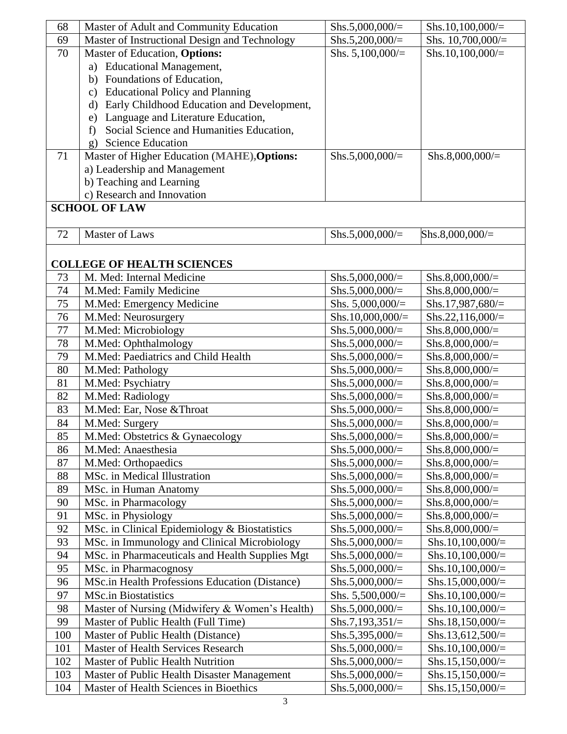| 68  | Master of Adult and Community Education         | Shs.5,000,000/ $=$  | Shs.10,100,000/ $=$ |
|-----|-------------------------------------------------|---------------------|---------------------|
| 69  | Master of Instructional Design and Technology   | Shs.5,200,000/ $=$  | Shs. 10,700,000/=   |
| 70  | Master of Education, Options:                   | Shs. $5,100,000/=$  | Shs.10,100,000/ $=$ |
|     | a) Educational Management,                      |                     |                     |
|     | b) Foundations of Education,                    |                     |                     |
|     | c) Educational Policy and Planning              |                     |                     |
|     | d) Early Childhood Education and Development,   |                     |                     |
|     | e) Language and Literature Education,           |                     |                     |
|     | Social Science and Humanities Education,<br>f   |                     |                     |
|     | <b>Science Education</b><br>$\sigma$ )          |                     |                     |
| 71  | Master of Higher Education (MAHE), Options:     | Shs.5,000,000/ $=$  | $Shs.8,000,000/=$   |
|     | a) Leadership and Management                    |                     |                     |
|     | b) Teaching and Learning                        |                     |                     |
|     | c) Research and Innovation                      |                     |                     |
|     | <b>SCHOOL OF LAW</b>                            |                     |                     |
|     |                                                 |                     |                     |
| 72  | <b>Master of Laws</b>                           | Shs.5,000,000/ $=$  | $Shs.8,000,000/=$   |
|     |                                                 |                     |                     |
|     | <b>COLLEGE OF HEALTH SCIENCES</b>               |                     |                     |
| 73  | M. Med: Internal Medicine                       | Shs.5,000,000/ $=$  | Shs.8,000,000/ $=$  |
| 74  | M.Med: Family Medicine                          | $Shs.5,000,000/=$   | Shs.8,000,000/ $=$  |
| 75  | M.Med: Emergency Medicine                       | Shs. $5,000,000/=$  | Shs.17,987,680/=    |
| 76  | M.Med: Neurosurgery                             | Shs.10,000,000/ $=$ | $Shs.22, 116,000/=$ |
| 77  | M.Med: Microbiology                             | Shs.5,000,000/ $=$  | Shs.8,000,000/ $=$  |
| 78  | M.Med: Ophthalmology                            | Shs.5,000,000/ $=$  | Shs.8,000,000/ $=$  |
| 79  | M.Med: Paediatrics and Child Health             | $Shs.5,000,000/=$   | Shs.8,000,000/ $=$  |
| 80  | M.Med: Pathology                                | Shs.5,000,000/ $=$  | Shs.8,000,000/ $=$  |
| 81  | M.Med: Psychiatry                               | $Shs.5,000,000/=$   | $Shs.8,000,000/=$   |
| 82  | M.Med: Radiology                                | $Shs.5,000,000/=$   | Shs.8,000,000/ $=$  |
| 83  | M.Med: Ear, Nose & Throat                       | Shs.5,000,000/ $=$  | Shs.8,000,000/ $=$  |
| 84  | M.Med: Surgery                                  | Shs.5,000,000/ $=$  | Shs.8,000,000/ $=$  |
| 85  | M.Med: Obstetrics & Gynaecology                 | $Shs.5,000,000/=$   | $Shs.8,000,000/=$   |
| 86  | M.Med: Anaesthesia                              | $Shs.5,000,000/=$   | Shs.8,000,000/ $=$  |
| 87  | M.Med: Orthopaedics                             | $Shs.5,000,000/=$   | Shs.8,000,000/ $=$  |
| 88  | MSc. in Medical Illustration                    | Shs.5,000,000/ $=$  | Shs.8,000,000/ $=$  |
| 89  | MSc. in Human Anatomy                           | Shs.5,000,000/ $=$  | $Shs.8,000,000/=$   |
| 90  | MSc. in Pharmacology                            | $Shs.5,000,000/=$   | Shs.8,000,000/ $=$  |
| 91  | MSc. in Physiology                              | Shs.5,000,000/ $=$  | Shs.8,000,000/ $=$  |
| 92  | MSc. in Clinical Epidemiology & Biostatistics   | Shs.5,000,000/=     | Shs.8,000,000/ $=$  |
| 93  | MSc. in Immunology and Clinical Microbiology    | Shs.5,000,000/ $=$  | Shs.10,100,000/ $=$ |
| 94  | MSc. in Pharmaceuticals and Health Supplies Mgt | $Shs.5,000,000/=$   | Shs.10,100,000/ $=$ |
| 95  | MSc. in Pharmacognosy                           | Shs.5,000,000/=     | Shs.10,100,000/ $=$ |
| 96  | MSc.in Health Professions Education (Distance)  | Shs.5,000,000/ $=$  | Shs.15,000,000/ $=$ |
| 97  | <b>MSc.in Biostatistics</b>                     | Shs. $5,500,000/=$  | $Shs.10,100,000/=$  |
| 98  | Master of Nursing (Midwifery & Women's Health)  | $Shs.5,000,000/=$   | Shs.10,100,000/ $=$ |
| 99  | Master of Public Health (Full Time)             | Shs.7,193,351/=     | Shs.18,150,000/=    |
| 100 | Master of Public Health (Distance)              | Shs.5,395,000/ $=$  | Shs.13,612,500/ $=$ |
| 101 | Master of Health Services Research              | $Shs.5,000,000/=$   | Shs.10,100,000/ $=$ |
| 102 | Master of Public Health Nutrition               | $Shs.5,000,000/=$   | Shs.15,150,000/ $=$ |
| 103 | Master of Public Health Disaster Management     | Shs.5,000,000/ $=$  | Shs.15,150,000/ $=$ |
| 104 | Master of Health Sciences in Bioethics          | $Shs.5,000,000/=$   | Shs.15,150,000/ $=$ |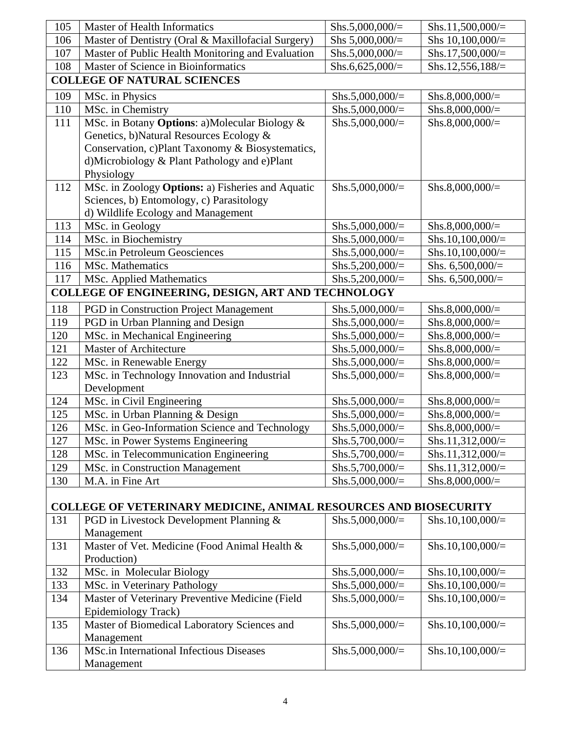| 105 | Master of Health Informatics                                            | Shs.5,000,000/ $=$ | $Shs.11,500,000/=$  |
|-----|-------------------------------------------------------------------------|--------------------|---------------------|
| 106 | Master of Dentistry (Oral & Maxillofacial Surgery)                      | Shs $5,000,000/$ = | Shs 10,100,000/=    |
| 107 | Master of Public Health Monitoring and Evaluation                       | Shs.5,000,000/ $=$ | Shs.17,500,000/ $=$ |
| 108 | Master of Science in Bioinformatics                                     | Shs.6,625,000/ $=$ | Shs.12,556,188/ $=$ |
|     | <b>COLLEGE OF NATURAL SCIENCES</b>                                      |                    |                     |
| 109 | MSc. in Physics                                                         | Shs.5,000,000/ $=$ | Shs.8,000,000/ $=$  |
| 110 | MSc. in Chemistry                                                       | Shs.5,000,000/ $=$ | Shs.8,000,000/ $=$  |
| 111 | MSc. in Botany Options: a)Molecular Biology &                           | Shs.5,000,000/ $=$ | Shs.8,000,000/ $=$  |
|     | Genetics, b)Natural Resources Ecology &                                 |                    |                     |
|     | Conservation, c)Plant Taxonomy & Biosystematics,                        |                    |                     |
|     | d)Microbiology & Plant Pathology and e)Plant                            |                    |                     |
|     | Physiology                                                              |                    |                     |
| 112 | MSc. in Zoology Options: a) Fisheries and Aquatic                       | Shs.5,000,000/ $=$ | Shs.8,000,000/ $=$  |
|     | Sciences, b) Entomology, c) Parasitology                                |                    |                     |
|     | d) Wildlife Ecology and Management                                      |                    |                     |
| 113 | MSc. in Geology                                                         | Shs.5,000,000/ $=$ | Shs.8,000,000/ $=$  |
| 114 | MSc. in Biochemistry                                                    | Shs.5,000,000/ $=$ | $Shs.10,100,000/=$  |
| 115 | <b>MSc.in Petroleum Geosciences</b>                                     | Shs.5,000,000/ $=$ | Shs.10,100,000/ $=$ |
| 116 | MSc. Mathematics                                                        | Shs.5,200,000/ $=$ | Shs. $6,500,000/=$  |
| 117 | <b>MSc. Applied Mathematics</b>                                         | Shs.5,200,000/ $=$ | Shs. $6,500,000/$ = |
|     | COLLEGE OF ENGINEERING, DESIGN, ART AND TECHNOLOGY                      |                    |                     |
| 118 | <b>PGD</b> in Construction Project Management                           | Shs.5,000,000/ $=$ | Shs.8,000,000/ $=$  |
| 119 | PGD in Urban Planning and Design                                        | Shs.5,000,000/ $=$ | Shs.8,000,000/ $=$  |
| 120 | MSc. in Mechanical Engineering                                          | Shs.5,000,000/ $=$ | Shs.8,000,000/ $=$  |
| 121 | Master of Architecture                                                  | Shs.5,000,000/ $=$ | $Shs.8,000,000/=$   |
| 122 | MSc. in Renewable Energy                                                | Shs.5,000,000/ $=$ | Shs.8,000,000/ $=$  |
| 123 | MSc. in Technology Innovation and Industrial                            | Shs.5,000,000/ $=$ | Shs.8,000,000/ $=$  |
|     | Development                                                             |                    |                     |
| 124 | MSc. in Civil Engineering                                               | Shs.5,000,000/ $=$ | Shs.8,000,000/ $=$  |
| 125 | MSc. in Urban Planning & Design                                         | Shs.5,000,000/ $=$ | Shs.8,000,000/ $=$  |
| 126 | MSc. in Geo-Information Science and Technology                          | Shs.5,000,000/ $=$ | $Shs.8,000,000/=$   |
| 127 | MSc. in Power Systems Engineering                                       | Shs.5,700,000/ $=$ | Shs.11,312,000/=    |
| 128 | MSc. in Telecommunication Engineering                                   | Shs.5,700,000/ $=$ | Shs.11,312,000/ $=$ |
| 129 | MSc. in Construction Management                                         | Shs.5,700,000/ $=$ | Shs.11,312,000/ $=$ |
| 130 | M.A. in Fine Art                                                        | Shs.5,000,000/ $=$ | Shs.8,000,000/ $=$  |
|     |                                                                         |                    |                     |
|     | <b>COLLEGE OF VETERINARY MEDICINE, ANIMAL RESOURCES AND BIOSECURITY</b> |                    |                     |
| 131 | PGD in Livestock Development Planning &<br>Management                   | Shs.5,000,000/ $=$ | Shs.10,100,000/ $=$ |
| 131 | Master of Vet. Medicine (Food Animal Health &                           | Shs.5,000,000/ $=$ | Shs.10,100,000/ $=$ |
|     | Production)                                                             |                    |                     |
| 132 | MSc. in Molecular Biology                                               | Shs.5,000,000/ $=$ | Shs.10,100,000/ $=$ |
| 133 | MSc. in Veterinary Pathology                                            | Shs.5,000,000/ $=$ | Shs.10,100,000/ $=$ |
| 134 | Master of Veterinary Preventive Medicine (Field                         | Shs.5,000,000/ $=$ | Shs.10,100,000/ $=$ |
|     | Epidemiology Track)                                                     |                    |                     |
| 135 | Master of Biomedical Laboratory Sciences and                            | Shs.5,000,000/ $=$ | Shs.10,100,000/ $=$ |
|     | Management                                                              |                    |                     |
| 136 | <b>MSc.in International Infectious Diseases</b>                         | Shs.5,000,000/ $=$ | Shs.10,100,000/ $=$ |
|     | Management                                                              |                    |                     |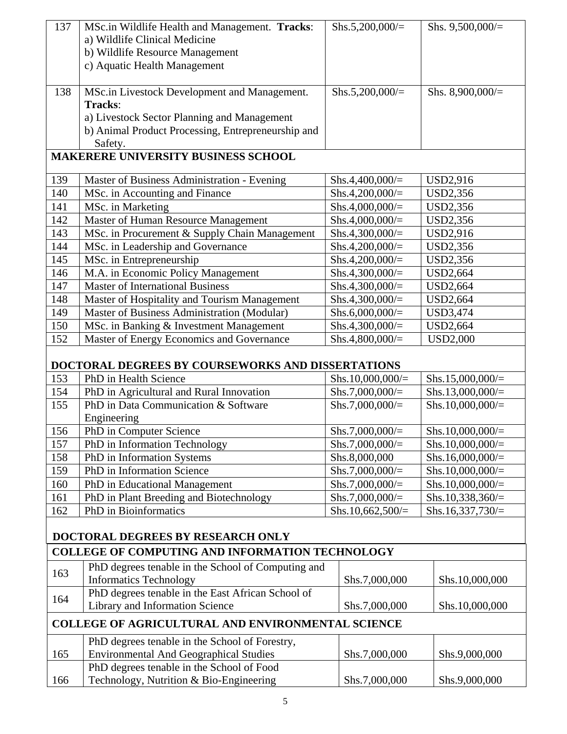| 137 | MSc.in Wildlife Health and Management. Tracks:                             | Shs.5,200,000/ $=$  | Shs. $9,500,000/$ =                        |  |
|-----|----------------------------------------------------------------------------|---------------------|--------------------------------------------|--|
|     | a) Wildlife Clinical Medicine                                              |                     |                                            |  |
|     | b) Wildlife Resource Management                                            |                     |                                            |  |
|     | c) Aquatic Health Management                                               |                     |                                            |  |
|     |                                                                            |                     |                                            |  |
| 138 | MSc.in Livestock Development and Management.                               | Shs.5,200,000/ $=$  | Shs. $8,900,000/$ =                        |  |
|     | Tracks:                                                                    |                     |                                            |  |
|     | a) Livestock Sector Planning and Management                                |                     |                                            |  |
|     | b) Animal Product Processing, Entrepreneurship and                         |                     |                                            |  |
|     | Safety.                                                                    |                     |                                            |  |
|     | <b>MAKERERE UNIVERSITY BUSINESS SCHOOL</b>                                 |                     |                                            |  |
| 139 | Master of Business Administration - Evening                                | Shs.4,400,000/=     | USD2,916                                   |  |
| 140 | MSc. in Accounting and Finance                                             | Shs.4,200,000/ $=$  | USD2,356                                   |  |
| 141 | MSc. in Marketing                                                          | Shs.4,000,000/=     | USD2,356                                   |  |
| 142 | Master of Human Resource Management                                        | Shs.4,000,000/=     | USD2,356                                   |  |
| 143 | MSc. in Procurement & Supply Chain Management                              | Shs.4,300,000/ $=$  | <b>USD2,916</b>                            |  |
|     | MSc. in Leadership and Governance                                          |                     |                                            |  |
| 144 |                                                                            | Shs.4,200,000/ $=$  | USD2,356                                   |  |
| 145 | MSc. in Entrepreneurship                                                   | Shs.4,200,000/ $=$  | USD2,356                                   |  |
| 146 | M.A. in Economic Policy Management                                         | Shs.4,300,000/ $=$  | USD2,664                                   |  |
| 147 | <b>Master of International Business</b>                                    | Shs.4,300,000/ $=$  | <b>USD2,664</b>                            |  |
| 148 | Master of Hospitality and Tourism Management                               | Shs.4,300,000/ $=$  | <b>USD2,664</b>                            |  |
| 149 | Master of Business Administration (Modular)                                | Shs.6,000,000/ $=$  | USD3,474                                   |  |
| 150 | MSc. in Banking & Investment Management                                    | Shs.4,300,000/ $=$  | <b>USD2,664</b>                            |  |
| 152 | Master of Energy Economics and Governance                                  | Shs.4,800,000/ $=$  | <b>USD2,000</b>                            |  |
|     |                                                                            |                     |                                            |  |
|     |                                                                            |                     |                                            |  |
| 153 | DOCTORAL DEGREES BY COURSEWORKS AND DISSERTATIONS<br>PhD in Health Science | Shs.10,000,000/=    |                                            |  |
|     |                                                                            | Shs.7,000,000/ $=$  | Shs.15,000,000/ $=$<br>Shs.13,000,000/ $=$ |  |
| 154 | PhD in Agricultural and Rural Innovation                                   |                     |                                            |  |
| 155 | PhD in Data Communication & Software                                       | Shs.7,000,000/ $=$  | Shs.10,000,000/=                           |  |
|     | Engineering                                                                |                     |                                            |  |
| 156 | PhD in Computer Science                                                    | Shs.7,000,000/ $=$  | Shs.10,000,000/ $=$                        |  |
| 157 | PhD in Information Technology                                              | Shs.7,000,000/ $=$  | Shs.10,000,000/ $=$                        |  |
| 158 | PhD in Information Systems                                                 | Shs.8,000,000       | Shs.16,000,000/ $=$                        |  |
| 159 | PhD in Information Science                                                 | Shs.7,000,000/ $=$  | Shs.10,000,000/ $=$                        |  |
| 160 | PhD in Educational Management                                              | Shs.7,000,000/ $=$  | Shs.10,000,000/=                           |  |
| 161 | PhD in Plant Breeding and Biotechnology                                    | Shs.7,000,000/ $=$  | Shs.10,338,360/ $=$                        |  |
| 162 | PhD in Bioinformatics                                                      | Shs.10,662,500/ $=$ | Shs.16,337,730/ $=$                        |  |
|     |                                                                            |                     |                                            |  |
|     | DOCTORAL DEGREES BY RESEARCH ONLY                                          |                     |                                            |  |
|     | <b>COLLEGE OF COMPUTING AND INFORMATION TECHNOLOGY</b>                     |                     |                                            |  |
| 163 | PhD degrees tenable in the School of Computing and                         |                     |                                            |  |
|     | <b>Informatics Technology</b>                                              | Shs.7,000,000       | Shs.10,000,000                             |  |
| 164 | PhD degrees tenable in the East African School of                          |                     |                                            |  |
|     | Library and Information Science                                            | Shs.7,000,000       | Shs.10,000,000                             |  |
|     | <b>COLLEGE OF AGRICULTURAL AND ENVIRONMENTAL SCIENCE</b>                   |                     |                                            |  |
|     | PhD degrees tenable in the School of Forestry,                             |                     |                                            |  |
| 165 | <b>Environmental And Geographical Studies</b>                              | Shs.7,000,000       | Shs.9,000,000                              |  |
|     | PhD degrees tenable in the School of Food                                  |                     |                                            |  |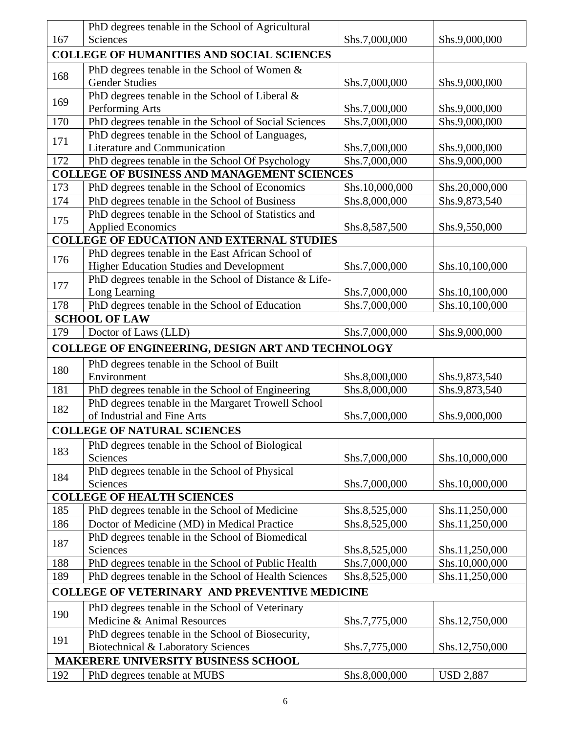|                                                      | PhD degrees tenable in the School of Agricultural        |                |                  |
|------------------------------------------------------|----------------------------------------------------------|----------------|------------------|
| 167                                                  | <b>Sciences</b>                                          | Shs.7,000,000  | Shs.9,000,000    |
| <b>COLLEGE OF HUMANITIES AND SOCIAL SCIENCES</b>     |                                                          |                |                  |
| 168                                                  | PhD degrees tenable in the School of Women &             |                |                  |
|                                                      | <b>Gender Studies</b>                                    | Shs.7,000,000  | Shs.9,000,000    |
| 169                                                  | PhD degrees tenable in the School of Liberal &           |                |                  |
|                                                      | Performing Arts                                          | Shs.7,000,000  | Shs.9,000,000    |
| 170                                                  | PhD degrees tenable in the School of Social Sciences     | Shs.7,000,000  | Shs.9,000,000    |
| 171                                                  | PhD degrees tenable in the School of Languages,          |                |                  |
|                                                      | Literature and Communication                             | Shs.7,000,000  | Shs.9,000,000    |
| 172                                                  | PhD degrees tenable in the School Of Psychology          | Shs.7,000,000  | Shs.9,000,000    |
|                                                      | <b>COLLEGE OF BUSINESS AND MANAGEMENT SCIENCES</b>       |                |                  |
| 173                                                  | PhD degrees tenable in the School of Economics           | Shs.10,000,000 | Shs.20,000,000   |
| 174                                                  | PhD degrees tenable in the School of Business            | Shs.8,000,000  | Shs.9,873,540    |
| 175                                                  | PhD degrees tenable in the School of Statistics and      |                |                  |
|                                                      | <b>Applied Economics</b>                                 | Shs.8,587,500  | Shs.9,550,000    |
|                                                      | <b>COLLEGE OF EDUCATION AND EXTERNAL STUDIES</b>         |                |                  |
| 176                                                  | PhD degrees tenable in the East African School of        |                |                  |
|                                                      | <b>Higher Education Studies and Development</b>          | Shs.7,000,000  | Shs.10,100,000   |
| 177                                                  | PhD degrees tenable in the School of Distance & Life-    |                |                  |
|                                                      | Long Learning                                            | Shs.7,000,000  | Shs.10,100,000   |
| 178                                                  | PhD degrees tenable in the School of Education           | Shs.7,000,000  | Shs.10,100,000   |
|                                                      | <b>SCHOOL OF LAW</b>                                     |                |                  |
| 179                                                  | Doctor of Laws (LLD)                                     | Shs.7,000,000  | Shs.9,000,000    |
|                                                      | <b>COLLEGE OF ENGINEERING, DESIGN ART AND TECHNOLOGY</b> |                |                  |
| 180                                                  | PhD degrees tenable in the School of Built               |                |                  |
|                                                      | Environment                                              | Shs.8,000,000  | Shs.9,873,540    |
| 181                                                  | PhD degrees tenable in the School of Engineering         | Shs.8,000,000  | Shs.9,873,540    |
| 182                                                  | PhD degrees tenable in the Margaret Trowell School       |                |                  |
|                                                      | of Industrial and Fine Arts                              | Shs.7,000,000  | Shs.9,000,000    |
|                                                      | <b>COLLEGE OF NATURAL SCIENCES</b>                       |                |                  |
| 183                                                  | PhD degrees tenable in the School of Biological          |                |                  |
|                                                      | Sciences                                                 | Shs.7,000,000  | Shs.10,000,000   |
| 184                                                  | PhD degrees tenable in the School of Physical            |                |                  |
|                                                      | Sciences                                                 | Shs.7,000,000  | Shs.10,000,000   |
|                                                      | <b>COLLEGE OF HEALTH SCIENCES</b>                        |                |                  |
| 185                                                  | PhD degrees tenable in the School of Medicine            | Shs.8,525,000  | Shs.11,250,000   |
| 186                                                  | Doctor of Medicine (MD) in Medical Practice              | Shs.8,525,000  | Shs.11,250,000   |
| 187                                                  | PhD degrees tenable in the School of Biomedical          |                |                  |
|                                                      | Sciences                                                 | Shs.8,525,000  | Shs.11,250,000   |
| 188                                                  | PhD degrees tenable in the School of Public Health       | Shs.7,000,000  | Shs.10,000,000   |
| 189                                                  | PhD degrees tenable in the School of Health Sciences     | Shs.8,525,000  | Shs.11,250,000   |
| <b>COLLEGE OF VETERINARY AND PREVENTIVE MEDICINE</b> |                                                          |                |                  |
| 190                                                  | PhD degrees tenable in the School of Veterinary          |                |                  |
|                                                      | Medicine & Animal Resources                              | Shs.7,775,000  | Shs.12,750,000   |
| 191                                                  | PhD degrees tenable in the School of Biosecurity,        |                |                  |
|                                                      | Biotechnical & Laboratory Sciences                       | Shs.7,775,000  | Shs.12,750,000   |
| <b>MAKERERE UNIVERSITY BUSINESS SCHOOL</b>           |                                                          |                |                  |
| 192                                                  | PhD degrees tenable at MUBS                              | Shs.8,000,000  | <b>USD 2,887</b> |